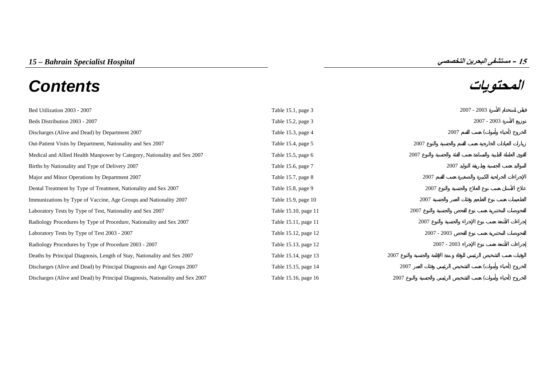# **المحتويات** *Contents*



| Bed Utilization 2003 - 2007                                                  | Table 15.1, page 3   |               | $2007 - 2003$ |  |
|------------------------------------------------------------------------------|----------------------|---------------|---------------|--|
| Beds Distribution 2003 - 2007                                                | Table 15.2, page 3   |               | $2007 - 2003$ |  |
| Discharges (Alive and Dead) by Department 2007                               | Table 15.3, page 4   | 2007          |               |  |
| Out-Patient Visits by Department, Nationality and Sex 2007                   | Table 15.4, page 5   | 2007          |               |  |
| Medical and Allied Health Manpower by Category, Nationality and Sex 2007     | Table 15.5, page $6$ | 2007          |               |  |
| Births by Nationality and Type of Delivery 2007                              | Table 15.6, page 7   | 2007          |               |  |
| Major and Minor Operations by Department 2007                                | Table 15.7, page 8   | 2007          |               |  |
| Dental Treatment by Type of Treatment, Nationality and Sex 2007              | Table 15.8, page 9   | 2007          |               |  |
| Immunizations by Type of Vaccine, Age Groups and Nationality 2007            | Table 15.9, page 10  | 2007          |               |  |
| Laboratory Tests by Type of Test, Nationality and Sex 2007                   | Table 15.10, page 11 | 2007          |               |  |
| Radiology Procedures by Type of Procedure, Nationality and Sex 2007          | Table 15.11, page 11 | 2007          |               |  |
| Laboratory Tests by Type of Test 2003 - 2007                                 | Table 15.12, page 12 | $2007 - 2003$ |               |  |
| Radiology Procedures by Type of Procedure 2003 - 2007                        | Table 15.13, page 12 | $2007 - 2003$ |               |  |
| Deaths by Principal Diagnosis, Length of Stay, Nationality and Sex 2007      | Table 15.14, page 13 | 2007          |               |  |
| Discharges (Alive and Dead) by Principal Diagnosis and Age Groups 2007       | Table 15.15, page 14 | 2007          |               |  |
| Discharges (Alive and Dead) by Principal Diagnosis, Nationality and Sex 2007 | Table 15.16, page 16 | 2007          |               |  |

**15**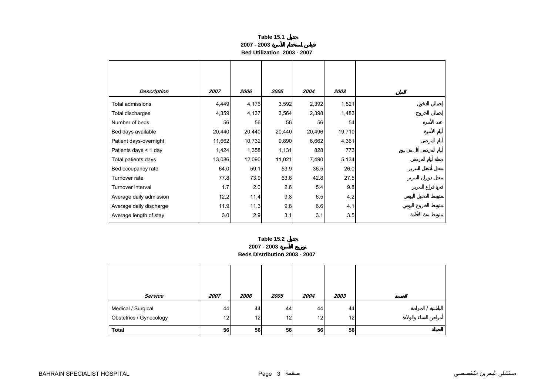| Table 15.1                  |  |
|-----------------------------|--|
| 2007 - 2003                 |  |
| Bed Utilization 2003 - 2007 |  |

<span id="page-1-0"></span>

| <b>Description</b>      | 2007   | 2006   | 2005   | 2004   | 2003   |
|-------------------------|--------|--------|--------|--------|--------|
|                         |        |        |        |        |        |
| Total admissions        | 4,449  | 4,176  | 3,592  | 2,392  | 1,521  |
| Total discharges        | 4,359  | 4,137  | 3,564  | 2,398  | 1,483  |
| Number of beds          | 56     | 56     | 56     | 56     | 54     |
| Bed days available      | 20,440 | 20,440 | 20,440 | 20,496 | 19,710 |
| Patient days-overnight  | 11,662 | 10,732 | 9,890  | 6,662  | 4,361  |
| Patients days < 1 day   | 1,424  | 1,358  | 1,131  | 828    | 773    |
| Total patients days     | 13,086 | 12,090 | 11,021 | 7,490  | 5,134  |
| Bed occupancy rate      | 64.0   | 59.1   | 53.9   | 36.5   | 26.0   |
| Turnover rate           | 77.8   | 73.9   | 63.6   | 42.8   | 27.5   |
| Turnover interval       | 1.7    | 2.0    | 2.6    | 5.4    | 9.8    |
| Average daily admission | 12.2   | 11.4   | 9.8    | 6.5    | 4.2    |
| Average daily discharge | 11.9   | 11.3   | 9.8    | 6.6    | 4.1    |
| Average length of stay  | 3.0    | 2.9    | 3.1    | 3.1    | 3.5    |



| Service                                       | 2007     | 2006     | 2005     | 2004     | 2003                  |  |
|-----------------------------------------------|----------|----------|----------|----------|-----------------------|--|
| Medical / Surgical<br>Obstetrics / Gynecology | 44<br>12 | 44<br>12 | 44<br>12 | 44<br>12 | 44<br>12 <sub>1</sub> |  |
| <b>Total</b>                                  | 56       | 56       | 56       | 56       | 56                    |  |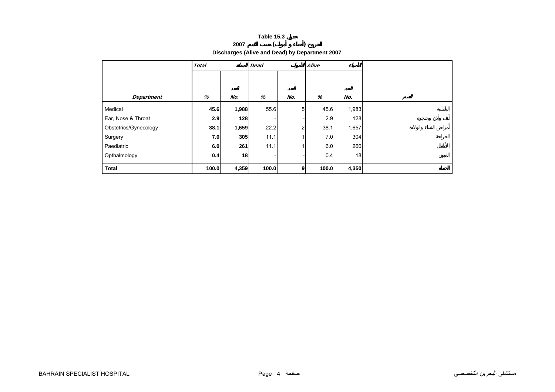# **<sup>2007</sup> ( )**

**Discharges (Alive and Dead) by Department 2007** 

<span id="page-2-0"></span>

|                       | <b>Total</b> |       | <b>Dead</b> |                | Alive |       |  |
|-----------------------|--------------|-------|-------------|----------------|-------|-------|--|
|                       |              |       |             |                |       |       |  |
|                       |              |       |             |                |       |       |  |
| <b>Department</b>     | %            | No.   | %           | No.            | %     | No.   |  |
| Medical               | 45.6         | 1,988 | 55.6        | 5 <sub>l</sub> | 45.6  | 1,983 |  |
| Ear, Nose & Throat    | 2.9          | 128   |             |                | 2.9   | 128   |  |
| Obstetrics/Gynecology | 38.1         | 1,659 | 22.2        | 2              | 38.1  | 1,657 |  |
| Surgery               | 7.0          | 305   | 11.1        |                | 7.0   | 304   |  |
| Paediatric            | 6.0          | 261   | 11.1        |                | 6.0   | 260   |  |
| Opthalmology          | 0.4          | 18    |             |                | 0.4   | 18    |  |
| <b>Total</b>          | 100.0        | 4,359 | 100.0       | 9              | 100.0 | 4,350 |  |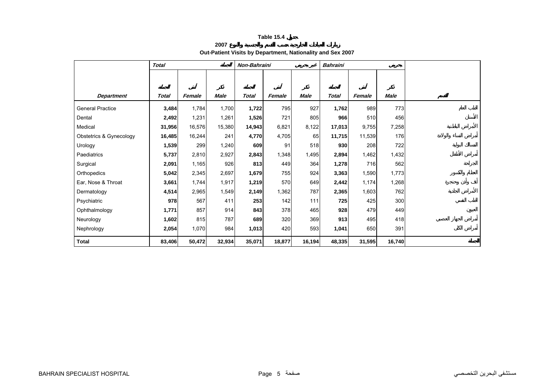**2007**

**Out-Patient Visits by Department, Nationality and Sex 2007** 

<span id="page-3-0"></span>

|                         | <b>Total</b> |        |             | Non-Bahraini |        |             | <b>Bahraini</b> |        |             |  |
|-------------------------|--------------|--------|-------------|--------------|--------|-------------|-----------------|--------|-------------|--|
|                         |              |        |             |              |        |             |                 |        |             |  |
|                         |              |        |             |              |        |             |                 |        |             |  |
| <b>Department</b>       | <b>Total</b> | Female | <b>Male</b> | <b>Total</b> | Female | <b>Male</b> | <b>Total</b>    | Female | <b>Male</b> |  |
| <b>General Practice</b> | 3,484        | 1,784  | 1,700       | 1,722        | 795    | 927         | 1,762           | 989    | 773         |  |
| Dental                  | 2,492        | 1,231  | 1,261       | 1,526        | 721    | 805         | 966             | 510    | 456         |  |
| Medical                 | 31,956       | 16,576 | 15,380      | 14,943       | 6,821  | 8,122       | 17,013          | 9,755  | 7,258       |  |
| Obstetrics & Gynecology | 16,485       | 16,244 | 241         | 4,770        | 4,705  | 65          | 11,715          | 11,539 | 176         |  |
| Urology                 | 1,539        | 299    | 1,240       | 609          | 91     | 518         | 930             | 208    | 722         |  |
| Paediatrics             | 5,737        | 2,810  | 2,927       | 2,843        | 1,348  | 1,495       | 2,894           | 1,462  | 1,432       |  |
| Surgical                | 2,091        | 1,165  | 926         | 813          | 449    | 364         | 1,278           | 716    | 562         |  |
| Orthopedics             | 5,042        | 2,345  | 2,697       | 1,679        | 755    | 924         | 3,363           | 1,590  | 1,773       |  |
| Ear, Nose & Throat      | 3,661        | 1,744  | 1,917       | 1,219        | 570    | 649         | 2,442           | 1,174  | 1,268       |  |
| Dermatology             | 4,514        | 2,965  | 1,549       | 2,149        | 1,362  | 787         | 2,365           | 1,603  | 762         |  |
| Psychiatric             | 978          | 567    | 411         | 253          | 142    | 111         | 725             | 425    | 300         |  |
| Ophthalmology           | 1,771        | 857    | 914         | 843          | 378    | 465         | 928             | 479    | 449         |  |
| Neurology               | 1,602        | 815    | 787         | 689          | 320    | 369         | 913             | 495    | 418         |  |
| Nephrology              | 2,054        | 1,070  | 984         | 1,013        | 420    | 593         | 1,041           | 650    | 391         |  |
| Total                   | 83,406       | 50,472 | 32,934      | 35,071       | 18,877 | 16,194      | 48,335          | 31,595 | 16,740      |  |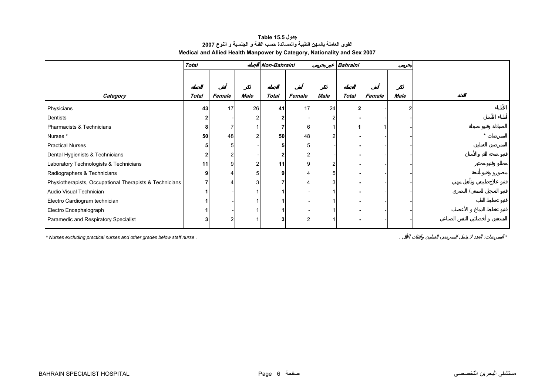# **جدول 15.5 Table القوى العاملة بالمهن الطبية والمساندة حسب الفئة <sup>و</sup> الجنسية <sup>و</sup> النوع <sup>2007</sup> Medical and Allied Health Manpower by Category, Nationality and Sex 2007**

<span id="page-4-0"></span>

|                                                         | <b>Total</b> |        |                | Non-Bahraini |        |      | <b>Bahraini</b> |        |      |  |
|---------------------------------------------------------|--------------|--------|----------------|--------------|--------|------|-----------------|--------|------|--|
|                                                         |              |        |                |              |        |      |                 |        |      |  |
|                                                         |              |        |                |              |        |      |                 |        |      |  |
| Category                                                | Total        | Female | Male           | <b>Total</b> | Female | Male | <b>Total</b>    | Female | Male |  |
| Physicians                                              | 43           | 17     | 26             | 41           | 17     | 24   |                 |        |      |  |
| Dentists                                                |              |        | $\overline{2}$ |              |        |      |                 |        |      |  |
| Pharmacists & Technicians                               | 8            |        |                |              | 6      |      |                 |        |      |  |
| Nurses*                                                 | 50           | 48     | $\overline{2}$ | 50           | 48     |      |                 |        |      |  |
| <b>Practical Nurses</b>                                 |              |        |                |              | 5      |      |                 |        |      |  |
| Dental Hygienists & Technicians                         |              |        |                |              |        |      |                 |        |      |  |
| Laboratory Technologists & Technicians                  | 11           |        | $\overline{2}$ | 11           | 9      | 2    |                 |        |      |  |
| Radiographers & Technicians                             | o            |        | 51             |              |        | 5    |                 |        |      |  |
| Physiotherapists, Occupational Therapists & Technicians |              |        | 3              |              |        | 3    |                 |        |      |  |
| Audio Visual Technician                                 |              |        |                |              |        |      |                 |        |      |  |
| Electro Cardiogram technician                           |              |        |                |              |        |      |                 |        |      |  |
| Electro Encephalograph                                  |              |        |                |              |        |      |                 |        |      |  |
| Paramedic and Respiratory Specialist                    |              |        |                |              | 2      |      |                 |        |      |  |

*\* Nurses excluding practical nurses and other grades below staff nurse .* . : *\**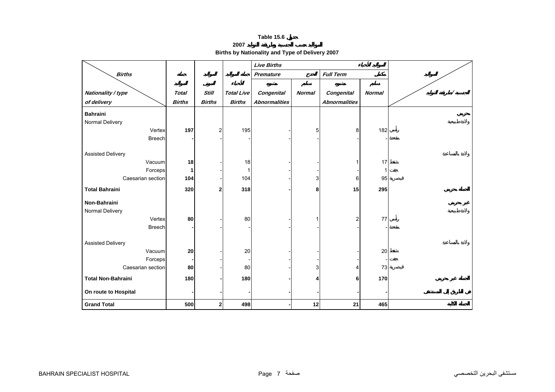**2007**

**Births by Nationality and Type of Delivery 2007** 

<span id="page-5-0"></span>

|                              |               |                         |                   | <b>Live Births</b>   |                |                      |               |  |
|------------------------------|---------------|-------------------------|-------------------|----------------------|----------------|----------------------|---------------|--|
| <b>Births</b>                |               |                         |                   | Premature            |                | <b>Full Term</b>     |               |  |
|                              |               |                         |                   |                      |                |                      |               |  |
| Nationality / type           | <b>Total</b>  | <b>Still</b>            | <b>Total Live</b> | <b>Congenital</b>    | <b>Normal</b>  | Congenital           | <b>Normal</b> |  |
| of delivery                  | <b>Births</b> | <b>Births</b>           | <b>Births</b>     | <b>Abnormalities</b> |                | <b>Abnormalities</b> |               |  |
| <b>Bahraini</b>              |               |                         |                   |                      |                |                      |               |  |
| Normal Delivery              |               |                         |                   |                      |                |                      |               |  |
| Vertex                       | 197           | $\overline{\mathbf{c}}$ | 195               |                      | 5 <sup>1</sup> | 8                    | 182           |  |
| <b>Breech</b>                |               |                         |                   |                      |                |                      |               |  |
|                              |               |                         |                   |                      |                |                      |               |  |
| <b>Assisted Delivery</b>     |               |                         |                   |                      |                |                      |               |  |
| Vacuum                       | 18            |                         | 18                |                      |                |                      | 17            |  |
| Forceps<br>Caesarian section | 1<br>104      |                         | 104               |                      | 3              | 6                    | 95            |  |
|                              |               |                         |                   |                      |                |                      |               |  |
| <b>Total Bahraini</b>        | 320           | $\mathbf 2$             | 318               |                      | 8              | 15                   | 295           |  |
| Non-Bahraini                 |               |                         |                   |                      |                |                      |               |  |
| Normal Delivery              |               |                         |                   |                      |                |                      |               |  |
| Vertex                       | 80            |                         | 80                |                      |                | 2                    | 77            |  |
| <b>Breech</b>                |               |                         |                   |                      |                |                      |               |  |
|                              |               |                         |                   |                      |                |                      |               |  |
| <b>Assisted Delivery</b>     |               |                         |                   |                      |                |                      |               |  |
| Vacuum                       | 20            |                         | 20                |                      |                |                      | 20            |  |
| Forceps                      |               |                         |                   |                      |                |                      |               |  |
| Caesarian section            | 80            |                         | 80                |                      | 3              | 4                    | 73            |  |
| <b>Total Non-Bahraini</b>    | 180           |                         | 180               |                      |                | 6                    | 170           |  |
| On route to Hospital         |               |                         |                   |                      |                |                      |               |  |
| <b>Grand Total</b>           | 500           | $\boldsymbol{2}$        | 498               |                      | 12             | 21                   | 465           |  |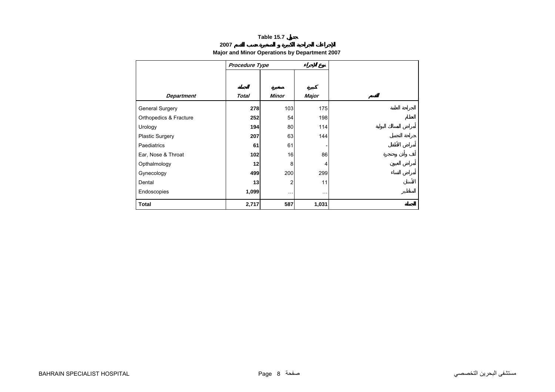# **2007**

# **Major and Minor Operations by Department 2007**

<span id="page-6-0"></span>

|                        | Procedure Type |              |          |
|------------------------|----------------|--------------|----------|
|                        |                |              |          |
|                        |                |              |          |
| <b>Department</b>      | <b>Total</b>   | <b>Minor</b> | Major    |
| <b>General Surgery</b> | 278            | 103          | 175      |
| Orthopedics & Fracture | 252            | 54           | 198      |
| Urology                | 194            | 80           | 114      |
| <b>Plastic Surgery</b> | 207            | 63           | 144      |
| Paediatrics            | 61             | 61           |          |
| Ear, Nose & Throat     | 102            | 16           | 86       |
| Opthalmology           | 12             | 8            | 4        |
| Gynecology             | 499            | 200          | 299      |
| Dental                 | 13             | 2            | 11       |
| Endoscopies            | 1,099          | $\cdots$     | $\cdots$ |
| <b>Total</b>           | 2,717          | 587          | 1,031    |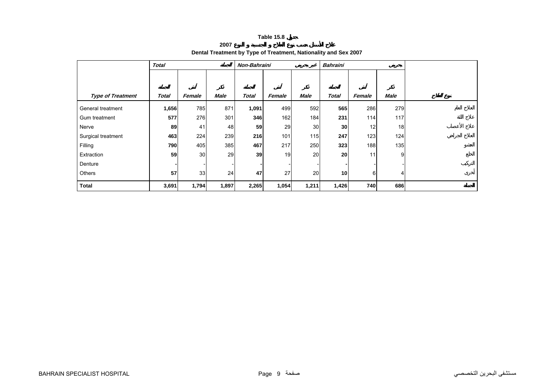**2007**

# **Dental Treatment by Type of Treatment, Nationality and Sex 2007**

<span id="page-7-0"></span>

|                          | <b>Total</b> |        |             | Non-Bahraini |        |       | <b>Bahraini</b> |          |      |  |
|--------------------------|--------------|--------|-------------|--------------|--------|-------|-----------------|----------|------|--|
|                          |              |        |             |              |        |       |                 |          |      |  |
|                          |              |        |             |              |        |       |                 |          |      |  |
| <b>Type of Treatment</b> | <b>Total</b> | Female | <b>Male</b> | Total        | Female | Male  | <b>Total</b>    | Female   | Male |  |
| General treatment        | 1,656        | 785    | 871         | 1,091        | 499    | 592   | 565             | 286      | 279  |  |
| Gum treatment            | 577          | 276    | 301         | 346          | 162    | 184   | 231             | 114      | 117  |  |
| Nerve                    | 89           | 41     | 48          | 59           | 29     | 30    | 30 <sup>l</sup> | 12       | 18   |  |
| Surgical treatment       | 463          | 224    | 239         | 216          | 101    | 115   | 247             | 123      | 124  |  |
| Filling                  | 790          | 405    | 385         | 467          | 217    | 250   | 323             | 188      | 135  |  |
| Extraction               | 59           | 30     | 29          | 39           | 19     | 20    | 20              | 11       | 9    |  |
| Denture                  |              |        |             |              |        |       |                 |          |      |  |
| Others                   | 57           | 33     | 24          | 47           | 27     | 20    | 10 <sup>1</sup> | $6 \mid$ | 4    |  |
| <b>Total</b>             | 3,691        | 1,794  | 1,897       | 2,265        | 1,054  | 1,211 | 1,426           | 740      | 686  |  |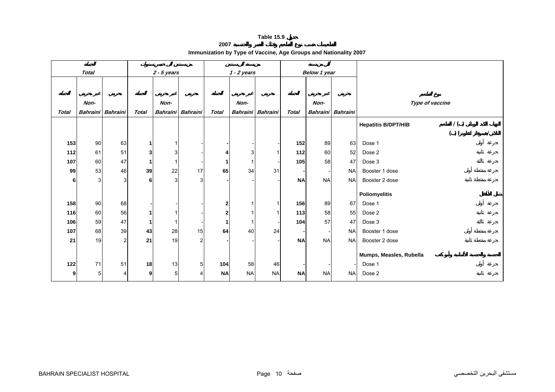**2007**

| Immunization by Type of Vaccine, Age Groups and Nationality 2007 |  |  |
|------------------------------------------------------------------|--|--|
|                                                                  |  |  |

<span id="page-8-0"></span>

|              | <b>Total</b>      |                |                | $2 - 5$ years   |                 |                         | $1 - 2$ years |                          |              | Below 1 year |                   |                            |                 |  |  |
|--------------|-------------------|----------------|----------------|-----------------|-----------------|-------------------------|---------------|--------------------------|--------------|--------------|-------------------|----------------------------|-----------------|--|--|
|              |                   |                |                |                 |                 |                         |               |                          |              |              |                   |                            |                 |  |  |
|              |                   |                |                |                 |                 |                         |               |                          |              |              |                   |                            |                 |  |  |
|              | Non-              |                |                | Non-            |                 |                         | Non-          |                          |              | Non-         |                   |                            | Type of vaccine |  |  |
| <b>Total</b> | Bahraini Bahraini |                | <b>Total</b>   | <b>Bahraini</b> | <b>Bahraini</b> | <b>Total</b>            |               | <b>Bahraini</b> Bahraini | <b>Total</b> |              | Bahraini Bahraini |                            |                 |  |  |
|              |                   |                |                |                 |                 |                         |               |                          |              |              |                   | <b>Hepatitis B/DPT/HIB</b> | 1()             |  |  |
|              |                   |                |                |                 |                 |                         |               |                          |              |              |                   |                            | ( )             |  |  |
| 153          | 90                | 63             | $\mathbf{1}$   | 1               |                 |                         |               |                          | 152          | 89           | 63                | Dose 1                     |                 |  |  |
| 112          | 61                | 51             | 3 <sup>1</sup> | 3               |                 | 4                       | 3             | 1                        | 112          | 60           | 52                | Dose 2                     |                 |  |  |
| 107          | 60                | 47             | $\mathbf{1}$   |                 |                 |                         |               |                          | 105          | 58           | 47                | Dose 3                     |                 |  |  |
| 99           | 53                | 46             | 39             | 22              | 17              | 65                      | 34            | 31                       |              |              | <b>NA</b>         | Booster 1 dose             |                 |  |  |
| 6            | $\overline{3}$    | 3              | 6              | 3               | $\overline{3}$  |                         |               |                          | <b>NA</b>    | <b>NA</b>    | <b>NA</b>         | Booster 2 dose             |                 |  |  |
|              |                   |                |                |                 |                 |                         |               |                          |              |              |                   | <b>Poliomyelitis</b>       |                 |  |  |
| 158          | 90                |                |                |                 |                 |                         |               | 1                        | 156          | 89           | 67                | Dose 1                     |                 |  |  |
|              |                   | 68             |                |                 |                 | $\overline{\mathbf{2}}$ |               |                          |              |              |                   |                            |                 |  |  |
| 116          | 60                | 56             | 1              |                 |                 | $\overline{2}$          |               |                          | 113          | 58           | 55                | Dose 2                     |                 |  |  |
| 106          | 59                | 47             | 1              |                 |                 |                         |               |                          | 104          | 57           | 47                | Dose 3                     |                 |  |  |
| 107          | 68                | 39             | 43             | 28              | 15              | 64                      | 40            | 24                       |              |              | <b>NA</b>         | Booster 1 dose             |                 |  |  |
| 21           | 19                | $\overline{2}$ | 21             | 19              | $\overline{a}$  |                         |               |                          | <b>NA</b>    | <b>NA</b>    | <b>NA</b>         | Booster 2 dose             |                 |  |  |
|              |                   |                |                |                 |                 |                         |               |                          |              |              |                   | Mumps, Measles, Rubella    |                 |  |  |
| 122          | 71                | 51             | 18             | 13              | 5               | 104                     | 58            | 46                       |              |              |                   | Dose 1                     |                 |  |  |
| 9            | 5                 | 4              | 9 <sub>l</sub> | 5 <sup>1</sup>  | 4               | <b>NA</b>               | <b>NA</b>     | <b>NA</b>                | <b>NA</b>    | <b>NA</b>    | <b>NA</b>         | Dose 2                     |                 |  |  |
|              |                   |                |                |                 |                 |                         |               |                          |              |              |                   |                            |                 |  |  |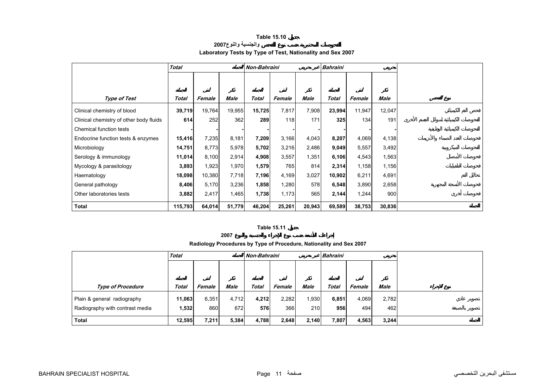### **Table 15.10 والجنسية والنوع<sup>2007</sup> Laboratory Tests by Type of Test, Nationality and Sex 2007**

<span id="page-9-0"></span>

|                                         | <b>Total</b> |        |        | Non-Bahraini |        |        | <b>Bahraini</b> |        |             |
|-----------------------------------------|--------------|--------|--------|--------------|--------|--------|-----------------|--------|-------------|
|                                         |              |        |        |              |        |        |                 |        |             |
|                                         |              |        |        |              |        |        |                 |        |             |
| Type of Test                            | Total        | Female | Male   | Total        | Female | Male   | Total           | Female | <b>Male</b> |
| Clinical chemistry of blood             | 39,719       | 19,764 | 19,955 | 15,725       | 7,817  | 7,908  | 23,994          | 11,947 | 12,047      |
| Clinical chemistry of other body fluids | 614          | 252    | 362    | 289          | 118    | 171    | 325             | 134    | 191         |
| Chemical function tests                 |              |        |        |              |        |        |                 |        |             |
| Endocrine function tests & enzymes      | 15,416       | 7,235  | 8,181  | 7,209        | 3,166  | 4,043  | 8,207           | 4,069  | 4,138       |
| Microbiology                            | 14,751       | 8,773  | 5,978  | 5,702        | 3,216  | 2,486  | 9,049           | 5,557  | 3,492       |
| Serology & immunology                   | 11,014       | 8,100  | 2,914  | 4,908        | 3,557  | 1,351  | 6,106           | 4,543  | 1,563       |
| Mycology & parasitology                 | 3,893        | 1,923  | 1,970  | 1,579        | 765    | 814    | 2,314           | 1,158  | 1,156       |
| Haematology                             | 18,098       | 10,380 | 7,718  | 7,196        | 4,169  | 3,027  | 10,902          | 6,211  | 4,691       |
| General pathology                       | 8,406        | 5,170  | 3,236  | 1,858        | 1,280  | 578    | 6,548           | 3,890  | 2,658       |
| Other laboratories tests                | 3,882        | 2,417  | 1,465  | 1,738        | 1,173  | 565    | 2,144           | 1,244  | 900         |
| <b>Total</b>                            | 115,793      | 64,014 | 51,779 | 46,204       | 25,261 | 20,943 | 69,589          | 38,753 | 30,836      |

#### **Table 15.11**

**2007**

# **Radiology Procedures by Type of Procedure, Nationality and Sex 2007**

|                                 | <b>Total</b> |        |       | Non-Bahraini |        |       | <b>Bahraini</b> |        |             |  |
|---------------------------------|--------------|--------|-------|--------------|--------|-------|-----------------|--------|-------------|--|
|                                 |              |        |       |              |        |       |                 |        |             |  |
|                                 |              |        |       |              |        |       |                 |        |             |  |
| <b>Type of Procedure</b>        | <b>Total</b> | Female | Male  | <b>Total</b> | Female | Male  | Total           | Female | <b>Male</b> |  |
| Plain & general radiography     | 11,063       | 6,351  | 4,712 | 4,212        | 2,282  | 1,930 | 6,851           | 4,069  | 2,782       |  |
| Radiography with contrast media | 1,532        | 860    | 672   | 576          | 366    | 210   | 956             | 494    | 462         |  |
| <b>Total</b>                    | 12,595       | 7,211  | 5,384 | 4,788        | 2,648  | 2.140 | 7,807           | 4,563  | 3.244       |  |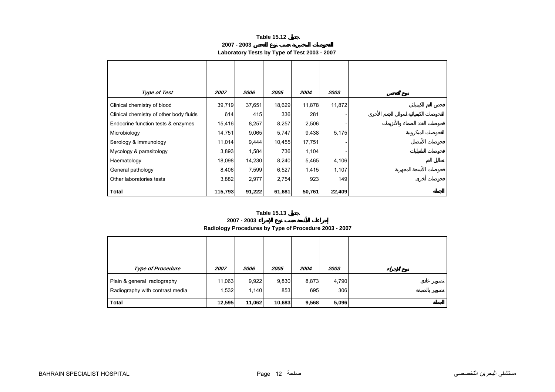**2007 - 2003**

# **Laboratory Tests by Type of Test 2003 - 2007**

<span id="page-10-0"></span>

| Type of Test                            | 2007    | 2006   | 2005   | 2004   | 2003   |
|-----------------------------------------|---------|--------|--------|--------|--------|
| Clinical chemistry of blood             | 39,719  | 37,651 | 18,629 | 11,878 | 11,872 |
| Clinical chemistry of other body fluids | 614     | 415    | 336    | 281    |        |
| Endocrine function tests & enzymes      | 15,416  | 8,257  | 8,257  | 2,506  |        |
| Microbiology                            | 14,751  | 9,065  | 5,747  | 9,438  | 5,175  |
| Serology & immunology                   | 11,014  | 9,444  | 10,455 | 17,751 |        |
| Mycology & parasitology                 | 3,893   | 1,584  | 736    | 1,104  |        |
| Haematology                             | 18,098  | 14,230 | 8,240  | 5,465  | 4,106  |
| General pathology                       | 8,406   | 7,599  | 6,527  | 1,415  | 1,107  |
| Other laboratories tests                | 3,882   | 2,977  | 2,754  | 923    | 149    |
| <b>Total</b>                            | 115,793 | 91,222 | 61,681 | 50,761 | 22,409 |

#### **Table 15.13**

#### **2007 - 2003**

# **Radiology Procedures by Type of Procedure 2003 - 2007**

| <b>Type of Procedure</b>                                       | 2007            | 2006           | 2005         | 2004         | 2003         |
|----------------------------------------------------------------|-----------------|----------------|--------------|--------------|--------------|
| Plain & general radiography<br>Radiography with contrast media | 11,063<br>1,532 | 9,922<br>1,140 | 9,830<br>853 | 8,873<br>695 | 4,790<br>306 |
| <b>Total</b>                                                   | 12,595          | 11,062         | 10,683       | 9,568        | 5,096        |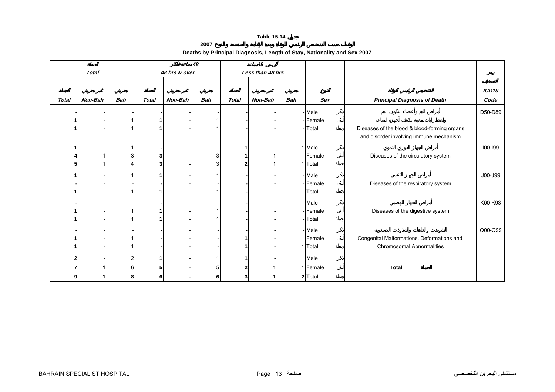**2007**

# **Deaths by Principal Diagnosis, Length of Stay, Nationality and Sex 2007**

<span id="page-11-0"></span>

|              |              |            |              |               | 48         |              | 48               |            |            |                                              |                   |
|--------------|--------------|------------|--------------|---------------|------------|--------------|------------------|------------|------------|----------------------------------------------|-------------------|
|              | <b>Total</b> |            |              | 48 hrs & over |            |              | Less than 48 hrs |            |            |                                              |                   |
|              |              |            |              |               |            |              |                  |            |            |                                              |                   |
|              |              |            |              |               |            |              |                  |            |            |                                              | ICD <sub>10</sub> |
| <b>Total</b> | Non-Bah      | <b>Bah</b> | <b>Total</b> | Non-Bah       | <b>Bah</b> | <b>Total</b> | Non-Bah          | <b>Bah</b> | <b>Sex</b> | <b>Principal Diagnosis of Death</b>          | Code              |
|              |              |            |              |               |            |              |                  |            | - Male     |                                              | D50-D89           |
|              |              |            |              |               |            |              |                  |            | -Female    |                                              |                   |
|              |              |            |              |               |            |              |                  |            | Total      | Diseases of the blood & blood-forming organs |                   |
|              |              |            |              |               |            |              |                  |            |            | and disorder involving immune mechanism      |                   |
| 1            |              |            |              |               |            |              |                  |            | 1 Male     |                                              | $100 - 199$       |
|              |              |            |              |               | 3          |              |                  |            | - Female   | Diseases of the circulatory system           |                   |
| 5            |              |            |              |               | 3          |              |                  |            | 1 Total    |                                              |                   |
|              |              |            |              |               |            |              |                  |            | - Male     |                                              | J00-J99           |
|              |              |            |              |               |            |              |                  |            | -Female    | Diseases of the respiratory system           |                   |
|              |              |            |              |               |            |              |                  |            | Total      |                                              |                   |
|              |              |            |              |               |            |              |                  |            | - Male     |                                              | K00-K93           |
|              |              |            |              |               |            |              |                  |            | -Female    | Diseases of the digestive system             |                   |
|              |              |            |              |               |            |              |                  |            | Total      |                                              |                   |
|              |              |            |              |               |            |              |                  |            |            |                                              |                   |
|              |              |            |              |               |            |              |                  |            | - Male     |                                              | Q00-Q99           |
| 1            |              |            |              |               |            |              |                  |            | 1 Female   | Congenital Malformations, Deformations and   |                   |
|              |              |            |              |               |            |              |                  |            | 1 Total    | <b>Chromosomal Abnormalities</b>             |                   |
| $\mathbf{2}$ |              |            |              |               |            |              |                  |            | 1 Male     |                                              |                   |
| 7            |              |            |              |               |            |              |                  |            | 1 Female   | <b>Total</b>                                 |                   |
| 9            |              |            | 6            |               |            |              |                  |            | 2 Total    |                                              |                   |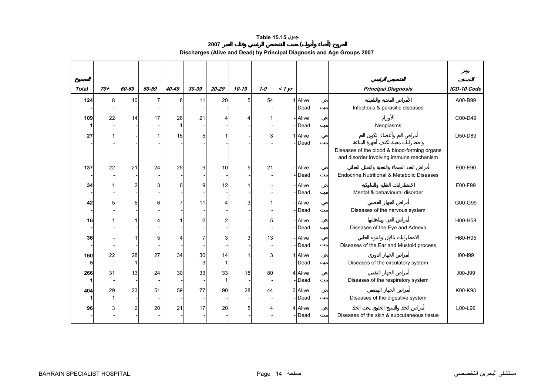# **جدول 15.15 Table**

**2007 ( )** 

**Discharges (Alive and Dead) by Principal Diagnosis and Age Groups 2007** 

<span id="page-12-0"></span>

| <b>Total</b> | $70+$ | 60-69          | 50-59          | 40-49 | 30-39          | $20 - 29$ | $10 - 19$      | $1 - 9$ | 1 yr |                  | <b>Principal Diagnosis</b>                                                              | ICD-10 Code |
|--------------|-------|----------------|----------------|-------|----------------|-----------|----------------|---------|------|------------------|-----------------------------------------------------------------------------------------|-------------|
| 124          | 8     | 10             | $\overline{7}$ | 8     | 11             | 20        | 5 <sup>1</sup> | 54      |      | 1 Alive          |                                                                                         | A00-B99     |
|              |       |                |                |       |                |           |                |         |      | -Dead            | Infectious & parasitic diseases                                                         |             |
| 109          | 22    | 14             | 17             | 26    | 21             |           |                |         |      | - Alive          |                                                                                         | C00-D49     |
|              |       |                |                | 1     |                |           |                |         |      | - <b>I</b> Dead  | Neoplasms                                                                               |             |
| 27           |       |                |                | 15    | 5              |           |                |         |      | 1 Alive          |                                                                                         | D50-D89     |
|              |       |                |                |       |                |           |                |         |      | -Dead            | Diseases of the blood & blood-forming organs<br>and disorder involving immune mechanism |             |
| 137          | 22    | 21             | 24             | 25    | 9              | 10        | 5              | 21      |      | - Alive          |                                                                                         | E00-E90     |
|              |       |                |                |       |                |           |                |         |      | - <b>Dead</b>    | Endocrine, Nutritional & Metabolic Diseases                                             |             |
| 34           |       | 2              | 3              | 6     | $\overline{9}$ | 12        |                |         |      | - Alive          |                                                                                         | F00-F99     |
|              |       |                |                |       |                |           |                |         |      | - <b>Dead</b>    | Mental & behavioural disorder                                                           |             |
| 42           | 5     | 5              | 6              |       | 11             |           |                |         |      | - Alive          |                                                                                         | G00-G99     |
|              |       |                |                |       |                |           |                |         |      | - <b>Dead</b>    | Diseases of the nervous system                                                          |             |
| 16           |       |                |                |       | 2              |           |                | 5       |      | - Alive<br>-Dead |                                                                                         | H00-H59     |
|              |       |                |                |       |                |           |                |         |      |                  | Diseases of the Eye and Adnexa                                                          |             |
| 36           |       |                | 5              |       |                |           |                | 13      |      | - Alive<br>-Dead | Diseases of the Ear and Mustoid process                                                 | H60-H95     |
| 160          | 22    | 28             | 27             | 34    | 30             | 14        |                | 3       |      | 1 Alive          |                                                                                         | $100 - 199$ |
| 5            |       | 1              |                |       | 3              |           |                |         |      | - <b>I</b> Dead  | Diseases of the circulatory system                                                      |             |
| 266          | 31    | 13             | 24             | 30    | 33             | 33        | 18             | 80      |      | 4 Alive          |                                                                                         | J00-J99     |
|              |       |                |                |       |                |           |                |         |      | -Dead            | Diseases of the respiratory system                                                      |             |
| 404          | 29    | 23             | 51             | 59    | 77             | 90        | 28             | 44      |      | 3 Alive          |                                                                                         | K00-K93     |
|              |       |                |                |       |                |           |                |         |      | - <b>Dead</b>    | Diseases of the digestive system                                                        |             |
| 96           | 3     | $\overline{c}$ | 20             | 21    | 17             | 20        | 5              |         |      | 4 Alive          |                                                                                         | L00-L99     |
|              |       |                |                |       |                |           |                |         |      | - <b>I</b> Dead  | Diseases of the skin & subcutaneous tissue                                              |             |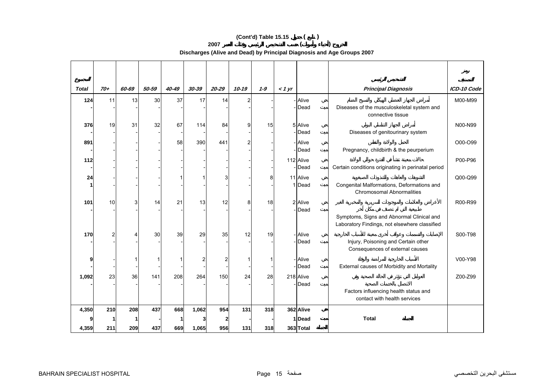# **(Cont'd) Table 15.15 ( )**

**2007 ( )** 

**Discharges (Alive and Dead) by Principal Diagnosis and Age Groups 2007** 

| <b>Total</b> | $70+$           | 60-69 | 50-59 | 40-49 | 30-39          | $20 - 29$ | $10 - 19$ | $1 - 9$ | < 1 yr |                    | <b>Principal Diagnosis</b>                                             | ICD-10 Code |
|--------------|-----------------|-------|-------|-------|----------------|-----------|-----------|---------|--------|--------------------|------------------------------------------------------------------------|-------------|
| 124          | 11              | 13    | 30    | 37    | 17             | 14        | 2         |         |        | - Alive            |                                                                        | M00-M99     |
|              |                 |       |       |       |                |           |           |         |        | -Dead              | Diseases of the musculoskeletal system and<br>connective tissue        |             |
| 376          | 19              | 31    | 32    | 67    | 114            | 84        | 9         | 15      |        | 5 Alive            |                                                                        | N00-N99     |
|              |                 |       |       |       |                |           |           |         |        | -Dead              | Diseases of genitourinary system                                       |             |
| 891          |                 |       |       | 58    | 390            | 441       |           |         |        | - Alive            |                                                                        | O00-O99     |
|              |                 |       |       |       |                |           |           |         |        | - <b>I</b> Dead    | Pregnancy, childbirth & the peurperium                                 |             |
| 112          |                 |       |       |       |                |           |           |         |        | 112 Alive          |                                                                        | P00-P96     |
|              |                 |       |       |       |                |           |           |         |        | -Dead              | Certain conditions originating in perinatal period                     |             |
| 24           |                 |       |       |       |                | 3         |           | 8       |        | 11 Alive<br>1 Dead | Congenital Malformations, Deformations and                             | Q00-Q99     |
|              |                 |       |       |       |                |           |           |         |        |                    | Chromosomal Abnormalities                                              |             |
| 101          | 10 <sup>1</sup> | 3     | 14    | 21    | 13             | 12        | 8         | 18      |        | 2 Alive            |                                                                        | R00-R99     |
|              |                 |       |       |       |                |           |           |         |        | - <b>Dead</b>      |                                                                        |             |
|              |                 |       |       |       |                |           |           |         |        |                    | Symptoms, Signs and Abnormal Clinical and                              |             |
|              |                 |       |       |       |                |           |           |         |        |                    | Laboratory Findings, not elsewhere classified                          |             |
| 170          | $\overline{2}$  |       | 30    | 39    | 29             | 35        | 12        | 19      |        | - Alive<br>-Dead   |                                                                        | S00-T98     |
|              |                 |       |       |       |                |           |           |         |        |                    | Injury, Poisoning and Certain other<br>Consequences of external causes |             |
| 9            |                 |       |       |       | 2 <sub>1</sub> | 2         |           |         |        | - Alive            |                                                                        | V00-Y98     |
|              |                 |       |       |       |                |           |           |         |        | -Dead              | External causes of Morbidity and Mortality                             |             |
| 1,092        | 23              | 36    | 141   | 208   | 264            | 150       | 24        | 28      |        | 218 Alive          |                                                                        | Z00-Z99     |
|              |                 |       |       |       |                |           |           |         |        | -Dead              | Factors influencing health status and                                  |             |
|              |                 |       |       |       |                |           |           |         |        |                    | contact with health services                                           |             |
| 4,350        | 210             | 208   | 437   | 668   | 1,062          | 954       | 131       | 318     |        | 362 Alive          |                                                                        |             |
|              |                 |       |       |       |                |           |           |         |        | 1Dead              | <b>Total</b>                                                           |             |
| 4,359        | 211             | 209   | 437   | 669   | 1,065          | 956       | 131       | 318     |        | 363 Total          |                                                                        |             |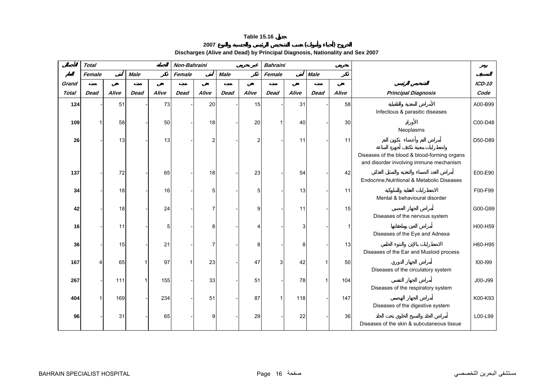# **2007 ( )**

**Discharges (Alive and Dead) by Principal Diagnosis, Nationality and Sex 2007** 

<span id="page-14-0"></span>

|              | <b>Total</b> |       |             |       | Non-Bahraini |       |             |                | <b>Bahraini</b> |       |             |       |                                                                                         |               |
|--------------|--------------|-------|-------------|-------|--------------|-------|-------------|----------------|-----------------|-------|-------------|-------|-----------------------------------------------------------------------------------------|---------------|
|              | Female       |       | <b>Male</b> |       | Female       |       | <b>Male</b> |                | Female          |       | <b>Male</b> |       |                                                                                         |               |
| Grand        |              |       |             |       |              |       |             |                |                 |       |             |       |                                                                                         | <b>ICD-10</b> |
| <b>Total</b> | <b>Dead</b>  | Alive | <b>Dead</b> | Alive | <b>Dead</b>  | Alive | <b>Dead</b> | Alive          | <b>Dead</b>     | Alive | <b>Dead</b> | Alive | <b>Principal Diagnosis</b>                                                              | Code          |
| 124          |              | 51    |             | 73    |              | 20    |             | 15             |                 | 31    |             | 58    | Infectious & parasitic diseases                                                         | A00-B99       |
| 109          |              | 58    |             | 50    |              | 18    |             | 20             |                 | 40    |             | 30    | Neoplasms                                                                               | C00-D48       |
| 26           |              | 13    |             | 13    |              | 2     |             | $\overline{2}$ |                 | 11    |             | 11    |                                                                                         | D50-D89       |
|              |              |       |             |       |              |       |             |                |                 |       |             |       | Diseases of the blood & blood-forming organs<br>and disorder involving immune mechanism |               |
| 137          |              | 72    |             | 65    |              | 18    |             | 23             |                 | 54    |             | 42    | Endocrine, Nutritional & Metabolic Diseases                                             | E00-E90       |
| 34           |              | 18    |             | 16    |              | 5     |             | 5              |                 | 13    |             | 11    | Mental & behavioural disorder                                                           | F00-F99       |
| 42           |              | 18    |             | 24    |              | 7     |             | 9              |                 | 11    |             | 15    | Diseases of the nervous system                                                          | G00-G99       |
| 16           |              | 11    |             | 5     |              | 8     |             |                |                 |       |             | 1     | Diseases of the Eye and Adnexa                                                          | H00-H59       |
| 36           |              | 15    |             | 21    |              | 7     |             | 8              |                 | 8     |             | 13    |                                                                                         | H60-H95       |
| 167          |              | 65    |             | 97    | $\mathbf{1}$ | 23    |             | 47             | 3               | 42    |             | 50    | Diseases of the Ear and Mustoid process                                                 | 100-199       |
| 267          |              | 111   |             | 155   |              | 33    |             | 51             |                 | 78    |             | 104   | Diseases of the circulatory system                                                      | J00-J99       |
| 404          |              | 169   |             | 234   |              | 51    |             | 87             |                 | 118   |             | 147   | Diseases of the respiratory system                                                      | K00-K93       |
| 96           |              | 31    |             | 65    |              | 9     |             | 29             |                 | 22    |             | 36    | Diseases of the digestive system                                                        | L00-L99       |
|              |              |       |             |       |              |       |             |                |                 |       |             |       | Diseases of the skin & subcutaneous tissue                                              |               |